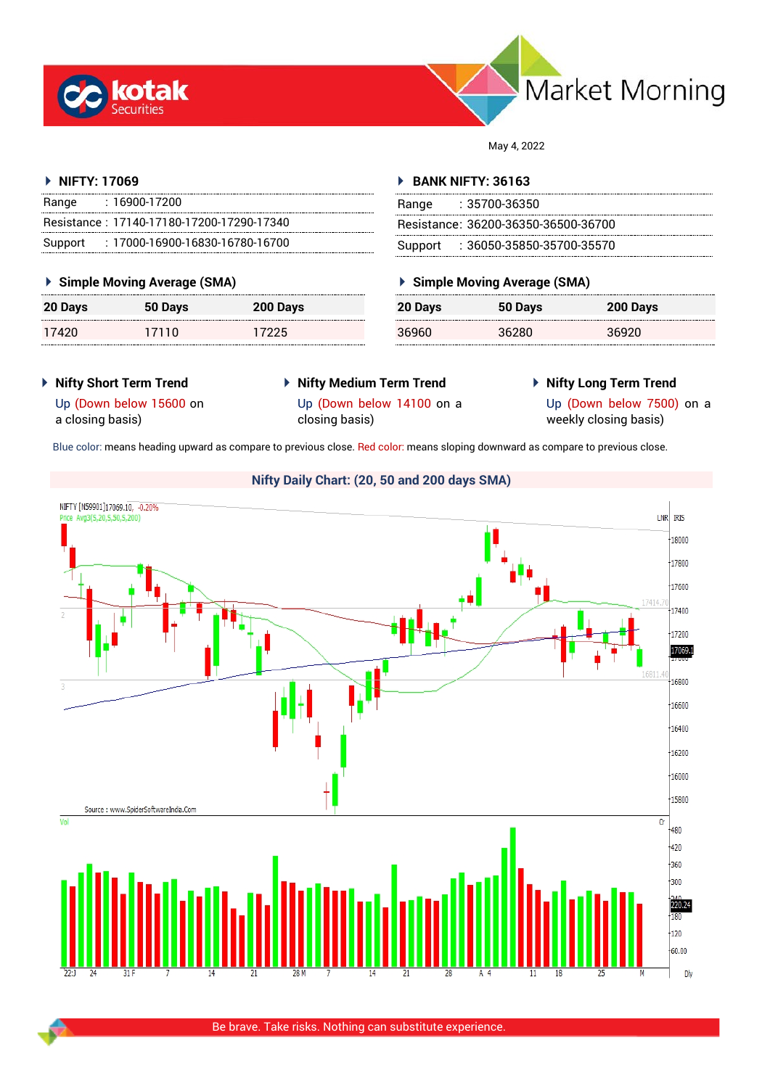



May 4, 2022

#### **NIFTY: 17069**

| Range | : 16900-17200                             |
|-------|-------------------------------------------|
|       | Resistance: 17140-17180-17200-17290-17340 |
|       | Support: : 17000-16900-16830-16780-16700  |

## **Simple Moving Average (SMA)**

| 20 Days | 50 Days | 200 Days |
|---------|---------|----------|
| 17420   | 17110   | 17225    |

#### **BANK NIFTY: 36163**

| Range | : 35700-36350                       |
|-------|-------------------------------------|
|       | Resistance: 36200-36350-36500-36700 |
|       | Support: 36050-35850-35700-35570    |

## **Simple Moving Average (SMA)**

| 20 Days | 50 Days | 200 Days |
|---------|---------|----------|
| 36960   | 36280   | 36920    |

- **Nifty Short Term Trend**
- **Nifty Medium Term Trend**
- **Nifty Long Term Trend**

Up (Down below 15600 on a closing basis)

Up (Down below 14100 on a closing basis)

Up (Down below 7500) on a weekly closing basis)

Blue color: means heading upward as compare to previous close. Red color: means sloping downward as compare to previous close.

# **Nifty Daily Chart: (20, 50 and 200 days SMA)**

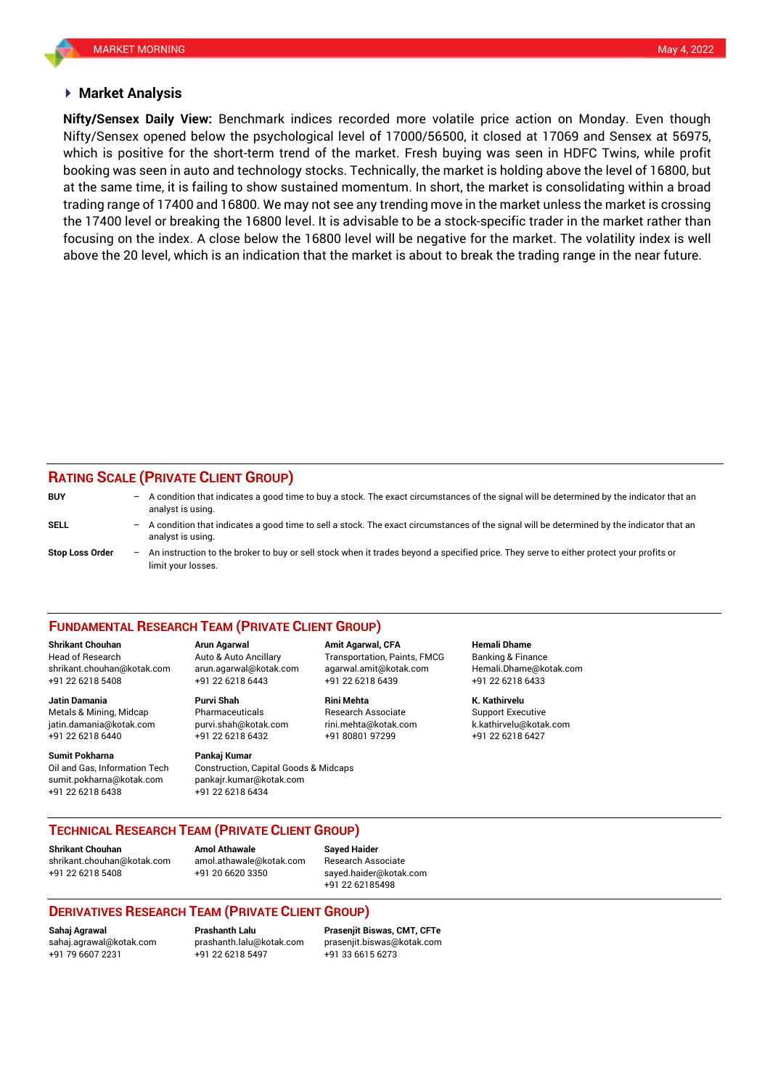#### **Market Analysis**

Nifty/Sensex opened below the psychological level of 17000/56500, it closed at 17069 and Sensex at 56975, booking was seen in auto and technology stocks. Technically, the market is holding above the level of 16800, but **Nifty/Sensex Daily View:** Benchmark indices recorded more volatile price action on Monday. Even though which is positive for the short-term trend of the market. Fresh buying was seen in HDFC Twins, while profit at the same time, it is failing to show sustained momentum. In short, the market is consolidating within a broad trading range of 17400 and 16800. We may not see any trending move in the market unless the market is crossing the 17400 level or breaking the 16800 level. It is advisable to be a stock-specific trader in the market rather than focusing on the index. A close below the 16800 level will be negative for the market. The volatility index is well above the 20 level, which is an indication that the market is about to break the trading range in the near future.

## **RATING SCALE (PRIVATE CLIENT GROUP)**

| <b>BUY</b>             | $-$ A condition that indicates a good time to buy a stock. The exact circumstances of the signal will be determined by the indicator that an<br>analyst is using. |
|------------------------|-------------------------------------------------------------------------------------------------------------------------------------------------------------------|
| SELL                   | A condition that indicates a good time to sell a stock. The exact circumstances of the signal will be determined by the indicator that an<br>analyst is using.    |
| <b>Stop Loss Order</b> | An instruction to the broker to buy or sell stock when it trades beyond a specified price. They serve to either protect your profits or<br>limit your losses.     |

#### **FUNDAMENTAL RESEARCH TEAM (PRIVATE CLIENT GROUP)**

Head of Research Auto & Auto Ancillary Transportation, Paints, FMCG Banking & Finance [shrikant.chouhan@kotak.com](mailto:shrikant.chouhan@kotak.com) arun.agarwal@kotak.com agarwal.amit@kotak.com Hemali.Dhame@kotak.com

**Jatin Damania Purvi Shah Rini Mehta K. Kathirvelu** Metals & Mining, Midcap Pharmaceuticals Research Associate Support Executive jatin.damania@kotak.com [purvi.shah@kotak.com](mailto:purvi.shah@kotak.com) rini.mehta@kotak.com [k.kathirvelu@kotak.com](mailto:k.kathirvelu@kotak.com) +91 22 6218 6440 +91 22 6218 6432 +91 80801 97299 +91 22 6218 6427

**Sumit Pokharna** Pankaj Kumar Oil and Gas, Information Tech Construction, Capital Goods & Midcaps sumit.pokharna@kotak.com pankajr.kumar@kotak.com +91 22 6218 6438 +91 22 6218 6434

+91 22 6218 5408 +91 22 6218 6443 +91 22 6218 6439 +91 22 6218 6433

**Shrikant Chouhan Arun Agarwal Amit Agarwal, CFA Hemali Dhame**

**TECHNICAL RESEARCH TEAM (PRIVATE CLIENT GROUP)** 

**Shrikant Chouhan Amol Athawale Sayed Haider**

[shrikant.chouhan@kotak.com](mailto:shrikant.chouhan@kotak.com) [amol.athawale@kotak.com](mailto:amol.athawale@kotak.com) Research Associate +91 22 6218 5408 +91 20 6620 3350 [sayed.haider@kotak.com](mailto:sayed.haider@kotak.com)

+91 22 62185498

## **DERIVATIVES RESEARCH TEAM (PRIVATE CLIENT GROUP)**

+91 22 6218 5497 +91 33 6615 6273

**Sahaj Agrawal Prashanth Lalu Prasenjit Biswas, CMT, CFTe** [sahaj.agrawal@kotak.com](mailto:sahaj.agrawal@kotak.com) [prashanth.lalu@kotak.com](mailto:prashanth.lalu@kotak.com) [prasenjit.biswas@kotak.com](mailto:prasenjit.biswas@kotak.com)